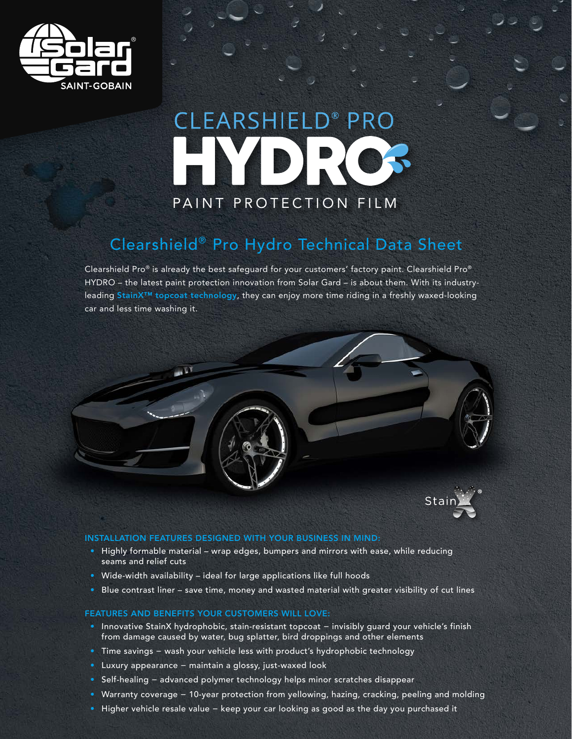

# **CLEARSHIELD® PRO** DIRIC PAINT PROTECTION FILM

## Clearshield® Pro Hydro Technical Data Sheet

Clearshield Pro® is already the best safeguard for your customers' factory paint. Clearshield Pro® HYDRO – the latest paint protection innovation from Solar Gard – is about them. With its industryleading StainX™ topcoat technology, they can enjoy more time riding in a freshly waxed-looking car and less time washing it.





#### INSTALLATION FEATURES DESIGNED WITH YOUR BUSINESS IN MIND:

- Highly formable material wrap edges, bumpers and mirrors with ease, while reducing seams and relief cuts
- Wide-width availability ideal for large applications like full hoods
- Blue contrast liner save time, money and wasted material with greater visibility of cut lines

#### FEATURES AND BENEFITS YOUR CUSTOMERS WILL LOVE:

- Innovative StainX hydrophobic, stain-resistant topcoat − invisibly guard your vehicle's finish from damage caused by water, bug splatter, bird droppings and other elements
- Time savings − wash your vehicle less with product's hydrophobic technology
- Luxury appearance − maintain a glossy, just-waxed look
- Self-healing − advanced polymer technology helps minor scratches disappear
- Warranty coverage − 10-year protection from yellowing, hazing, cracking, peeling and molding
- Higher vehicle resale value − keep your car looking as good as the day you purchased it